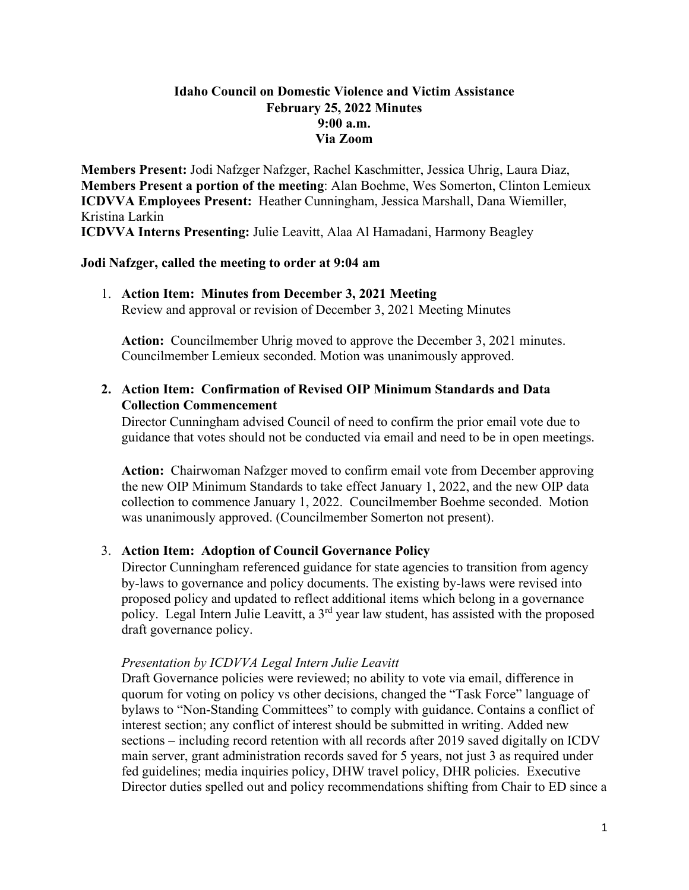## **Idaho Council on Domestic Violence and Victim Assistance February 25, 2022 Minutes 9:00 a.m. Via Zoom**

**Members Present:** Jodi Nafzger Nafzger, Rachel Kaschmitter, Jessica Uhrig, Laura Diaz, **Members Present a portion of the meeting**: Alan Boehme, Wes Somerton, Clinton Lemieux **ICDVVA Employees Present:** Heather Cunningham, Jessica Marshall, Dana Wiemiller, Kristina Larkin

**ICDVVA Interns Presenting:** Julie Leavitt, Alaa Al Hamadani, Harmony Beagley

## **Jodi Nafzger, called the meeting to order at 9:04 am**

1. **Action Item: Minutes from December 3, 2021 Meeting**  Review and approval or revision of December 3, 2021 Meeting Minutes

**Action:** Councilmember Uhrig moved to approve the December 3, 2021 minutes. Councilmember Lemieux seconded. Motion was unanimously approved.

# **2. Action Item: Confirmation of Revised OIP Minimum Standards and Data Collection Commencement**

Director Cunningham advised Council of need to confirm the prior email vote due to guidance that votes should not be conducted via email and need to be in open meetings.

**Action:** Chairwoman Nafzger moved to confirm email vote from December approving the new OIP Minimum Standards to take effect January 1, 2022, and the new OIP data collection to commence January 1, 2022. Councilmember Boehme seconded. Motion was unanimously approved. (Councilmember Somerton not present).

## 3. **Action Item: Adoption of Council Governance Policy**

Director Cunningham referenced guidance for state agencies to transition from agency by-laws to governance and policy documents. The existing by-laws were revised into proposed policy and updated to reflect additional items which belong in a governance policy. Legal Intern Julie Leavitt, a  $3<sup>rd</sup>$  year law student, has assisted with the proposed draft governance policy.

## *Presentation by ICDVVA Legal Intern Julie Leavitt*

Draft Governance policies were reviewed; no ability to vote via email, difference in quorum for voting on policy vs other decisions, changed the "Task Force" language of bylaws to "Non-Standing Committees" to comply with guidance. Contains a conflict of interest section; any conflict of interest should be submitted in writing. Added new sections – including record retention with all records after 2019 saved digitally on ICDV main server, grant administration records saved for 5 years, not just 3 as required under fed guidelines; media inquiries policy, DHW travel policy, DHR policies. Executive Director duties spelled out and policy recommendations shifting from Chair to ED since a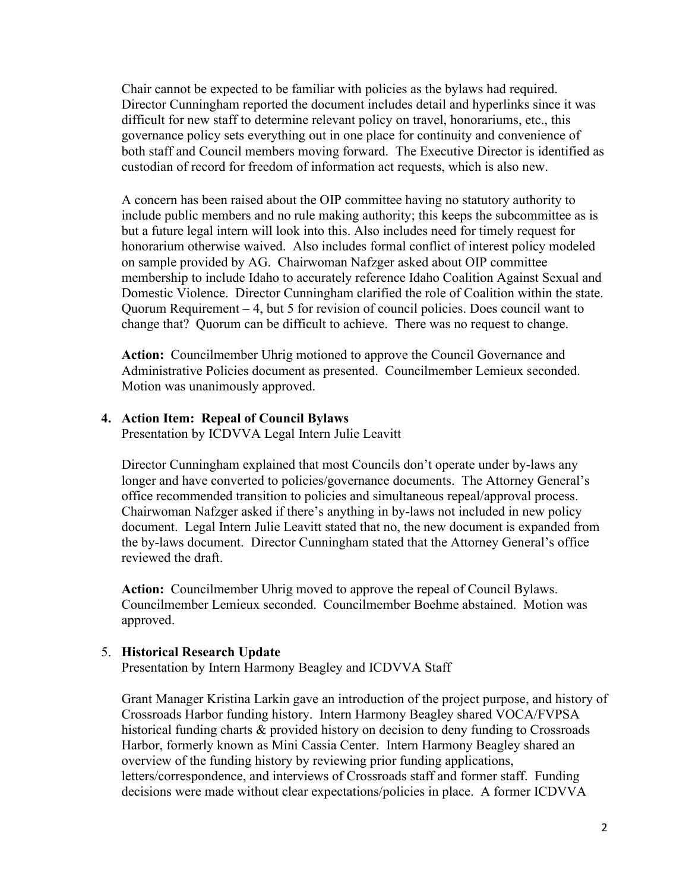Chair cannot be expected to be familiar with policies as the bylaws had required. Director Cunningham reported the document includes detail and hyperlinks since it was difficult for new staff to determine relevant policy on travel, honorariums, etc., this governance policy sets everything out in one place for continuity and convenience of both staff and Council members moving forward. The Executive Director is identified as custodian of record for freedom of information act requests, which is also new.

A concern has been raised about the OIP committee having no statutory authority to include public members and no rule making authority; this keeps the subcommittee as is but a future legal intern will look into this. Also includes need for timely request for honorarium otherwise waived. Also includes formal conflict of interest policy modeled on sample provided by AG. Chairwoman Nafzger asked about OIP committee membership to include Idaho to accurately reference Idaho Coalition Against Sexual and Domestic Violence. Director Cunningham clarified the role of Coalition within the state. Quorum Requirement – 4, but 5 for revision of council policies. Does council want to change that? Quorum can be difficult to achieve. There was no request to change.

**Action:** Councilmember Uhrig motioned to approve the Council Governance and Administrative Policies document as presented. Councilmember Lemieux seconded. Motion was unanimously approved.

#### **4. Action Item: Repeal of Council Bylaws**

Presentation by ICDVVA Legal Intern Julie Leavitt

Director Cunningham explained that most Councils don't operate under by-laws any longer and have converted to policies/governance documents. The Attorney General's office recommended transition to policies and simultaneous repeal/approval process. Chairwoman Nafzger asked if there's anything in by-laws not included in new policy document. Legal Intern Julie Leavitt stated that no, the new document is expanded from the by-laws document. Director Cunningham stated that the Attorney General's office reviewed the draft.

**Action:** Councilmember Uhrig moved to approve the repeal of Council Bylaws. Councilmember Lemieux seconded. Councilmember Boehme abstained. Motion was approved.

#### 5. **Historical Research Update**

Presentation by Intern Harmony Beagley and ICDVVA Staff

Grant Manager Kristina Larkin gave an introduction of the project purpose, and history of Crossroads Harbor funding history. Intern Harmony Beagley shared VOCA/FVPSA historical funding charts & provided history on decision to deny funding to Crossroads Harbor, formerly known as Mini Cassia Center. Intern Harmony Beagley shared an overview of the funding history by reviewing prior funding applications, letters/correspondence, and interviews of Crossroads staff and former staff. Funding decisions were made without clear expectations/policies in place. A former ICDVVA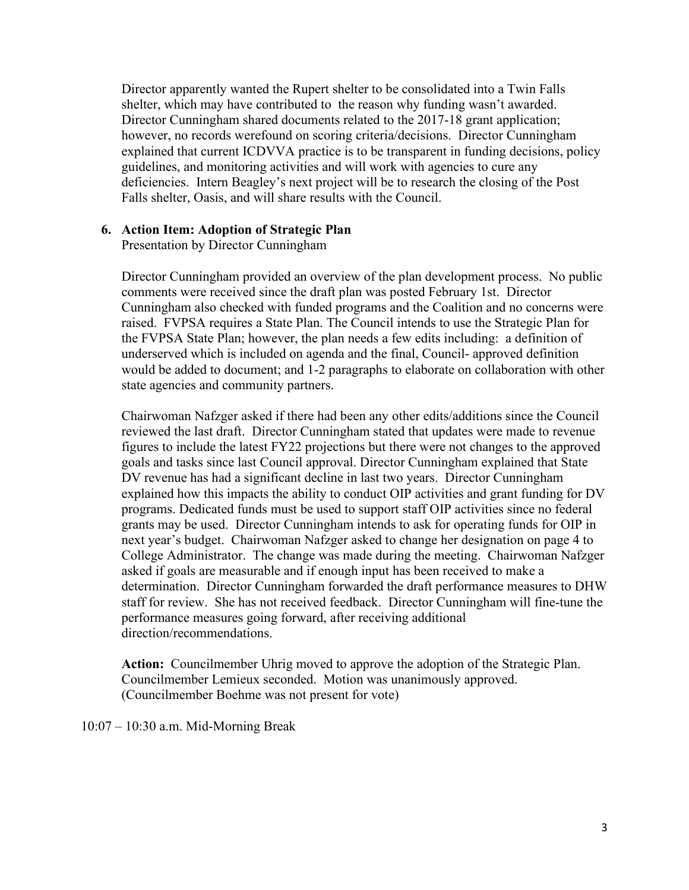Director apparently wanted the Rupert shelter to be consolidated into a Twin Falls shelter, which may have contributed to the reason why funding wasn't awarded. Director Cunningham shared documents related to the 2017-18 grant application; however, no records werefound on scoring criteria/decisions. Director Cunningham explained that current ICDVVA practice is to be transparent in funding decisions, policy guidelines, and monitoring activities and will work with agencies to cure any deficiencies. Intern Beagley's next project will be to research the closing of the Post Falls shelter, Oasis, and will share results with the Council.

### **6. Action Item: Adoption of Strategic Plan**

Presentation by Director Cunningham

Director Cunningham provided an overview of the plan development process. No public comments were received since the draft plan was posted February 1st. Director Cunningham also checked with funded programs and the Coalition and no concerns were raised. FVPSA requires a State Plan. The Council intends to use the Strategic Plan for the FVPSA State Plan; however, the plan needs a few edits including: a definition of underserved which is included on agenda and the final, Council- approved definition would be added to document; and 1-2 paragraphs to elaborate on collaboration with other state agencies and community partners.

Chairwoman Nafzger asked if there had been any other edits/additions since the Council reviewed the last draft. Director Cunningham stated that updates were made to revenue figures to include the latest FY22 projections but there were not changes to the approved goals and tasks since last Council approval. Director Cunningham explained that State DV revenue has had a significant decline in last two years. Director Cunningham explained how this impacts the ability to conduct OIP activities and grant funding for DV programs. Dedicated funds must be used to support staff OIP activities since no federal grants may be used. Director Cunningham intends to ask for operating funds for OIP in next year's budget. Chairwoman Nafzger asked to change her designation on page 4 to College Administrator. The change was made during the meeting. Chairwoman Nafzger asked if goals are measurable and if enough input has been received to make a determination. Director Cunningham forwarded the draft performance measures to DHW staff for review. She has not received feedback. Director Cunningham will fine-tune the performance measures going forward, after receiving additional direction/recommendations.

**Action:** Councilmember Uhrig moved to approve the adoption of the Strategic Plan. Councilmember Lemieux seconded. Motion was unanimously approved. (Councilmember Boehme was not present for vote)

10:07 – 10:30 a.m. Mid-Morning Break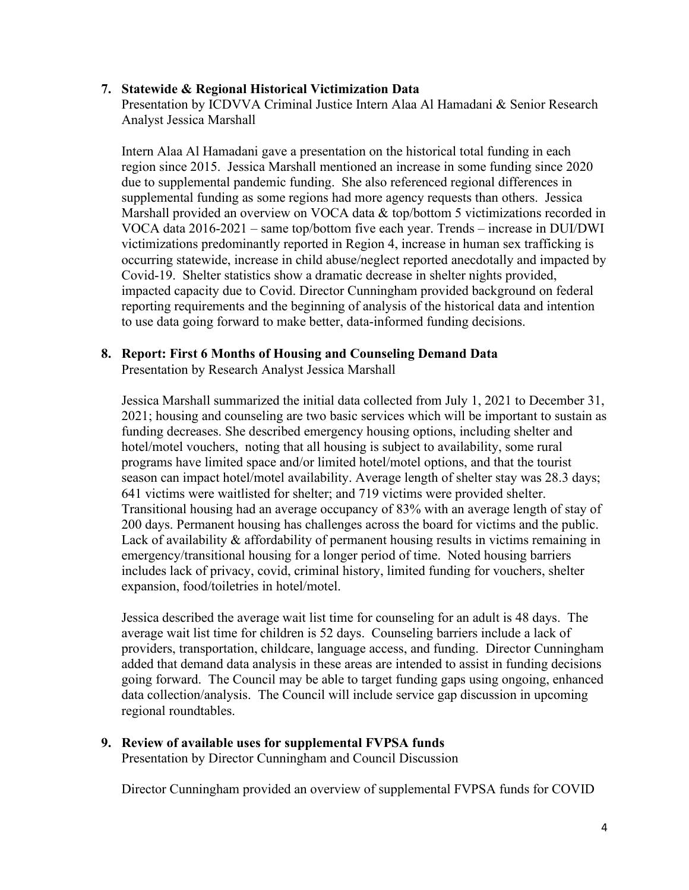## **7. Statewide & Regional Historical Victimization Data**

Presentation by ICDVVA Criminal Justice Intern Alaa Al Hamadani & Senior Research Analyst Jessica Marshall

Intern Alaa Al Hamadani gave a presentation on the historical total funding in each region since 2015. Jessica Marshall mentioned an increase in some funding since 2020 due to supplemental pandemic funding. She also referenced regional differences in supplemental funding as some regions had more agency requests than others. Jessica Marshall provided an overview on VOCA data & top/bottom 5 victimizations recorded in VOCA data 2016-2021 – same top/bottom five each year. Trends – increase in DUI/DWI victimizations predominantly reported in Region 4, increase in human sex trafficking is occurring statewide, increase in child abuse/neglect reported anecdotally and impacted by Covid-19. Shelter statistics show a dramatic decrease in shelter nights provided, impacted capacity due to Covid. Director Cunningham provided background on federal reporting requirements and the beginning of analysis of the historical data and intention to use data going forward to make better, data-informed funding decisions.

## **8. Report: First 6 Months of Housing and Counseling Demand Data**

Presentation by Research Analyst Jessica Marshall

Jessica Marshall summarized the initial data collected from July 1, 2021 to December 31, 2021; housing and counseling are two basic services which will be important to sustain as funding decreases. She described emergency housing options, including shelter and hotel/motel vouchers, noting that all housing is subject to availability, some rural programs have limited space and/or limited hotel/motel options, and that the tourist season can impact hotel/motel availability. Average length of shelter stay was 28.3 days; 641 victims were waitlisted for shelter; and 719 victims were provided shelter. Transitional housing had an average occupancy of 83% with an average length of stay of 200 days. Permanent housing has challenges across the board for victims and the public. Lack of availability & affordability of permanent housing results in victims remaining in emergency/transitional housing for a longer period of time. Noted housing barriers includes lack of privacy, covid, criminal history, limited funding for vouchers, shelter expansion, food/toiletries in hotel/motel.

Jessica described the average wait list time for counseling for an adult is 48 days. The average wait list time for children is 52 days. Counseling barriers include a lack of providers, transportation, childcare, language access, and funding. Director Cunningham added that demand data analysis in these areas are intended to assist in funding decisions going forward. The Council may be able to target funding gaps using ongoing, enhanced data collection/analysis. The Council will include service gap discussion in upcoming regional roundtables.

# **9. Review of available uses for supplemental FVPSA funds**

Presentation by Director Cunningham and Council Discussion

Director Cunningham provided an overview of supplemental FVPSA funds for COVID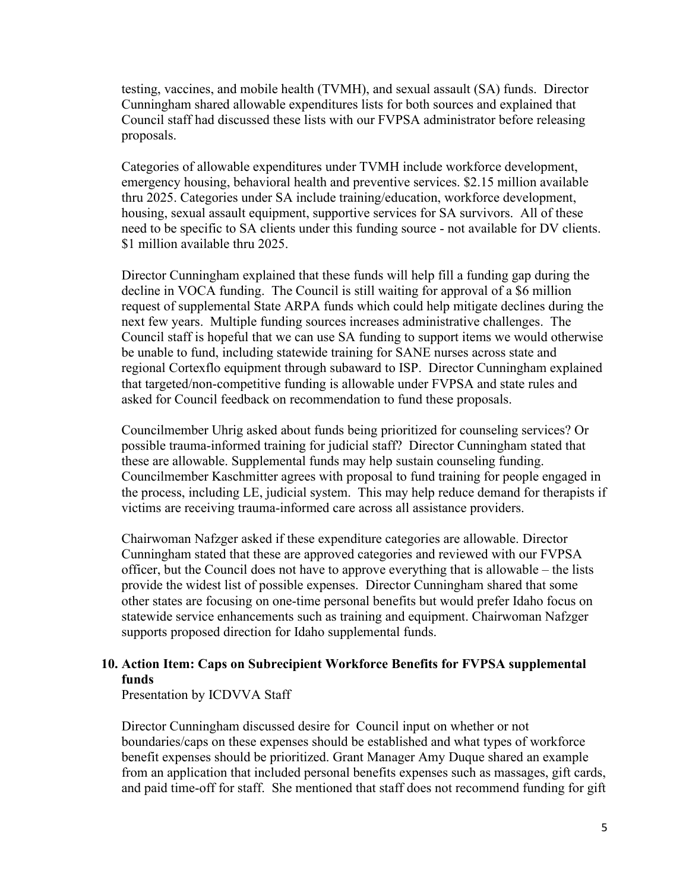testing, vaccines, and mobile health (TVMH), and sexual assault (SA) funds. Director Cunningham shared allowable expenditures lists for both sources and explained that Council staff had discussed these lists with our FVPSA administrator before releasing proposals.

Categories of allowable expenditures under TVMH include workforce development, emergency housing, behavioral health and preventive services. \$2.15 million available thru 2025. Categories under SA include training/education, workforce development, housing, sexual assault equipment, supportive services for SA survivors. All of these need to be specific to SA clients under this funding source - not available for DV clients. \$1 million available thru 2025.

Director Cunningham explained that these funds will help fill a funding gap during the decline in VOCA funding. The Council is still waiting for approval of a \$6 million request of supplemental State ARPA funds which could help mitigate declines during the next few years. Multiple funding sources increases administrative challenges. The Council staff is hopeful that we can use SA funding to support items we would otherwise be unable to fund, including statewide training for SANE nurses across state and regional Cortexflo equipment through subaward to ISP. Director Cunningham explained that targeted/non-competitive funding is allowable under FVPSA and state rules and asked for Council feedback on recommendation to fund these proposals.

Councilmember Uhrig asked about funds being prioritized for counseling services? Or possible trauma-informed training for judicial staff? Director Cunningham stated that these are allowable. Supplemental funds may help sustain counseling funding. Councilmember Kaschmitter agrees with proposal to fund training for people engaged in the process, including LE, judicial system. This may help reduce demand for therapists if victims are receiving trauma-informed care across all assistance providers.

Chairwoman Nafzger asked if these expenditure categories are allowable. Director Cunningham stated that these are approved categories and reviewed with our FVPSA officer, but the Council does not have to approve everything that is allowable – the lists provide the widest list of possible expenses. Director Cunningham shared that some other states are focusing on one-time personal benefits but would prefer Idaho focus on statewide service enhancements such as training and equipment. Chairwoman Nafzger supports proposed direction for Idaho supplemental funds.

## **10. Action Item: Caps on Subrecipient Workforce Benefits for FVPSA supplemental funds**

Presentation by ICDVVA Staff

Director Cunningham discussed desire for Council input on whether or not boundaries/caps on these expenses should be established and what types of workforce benefit expenses should be prioritized. Grant Manager Amy Duque shared an example from an application that included personal benefits expenses such as massages, gift cards, and paid time-off for staff. She mentioned that staff does not recommend funding for gift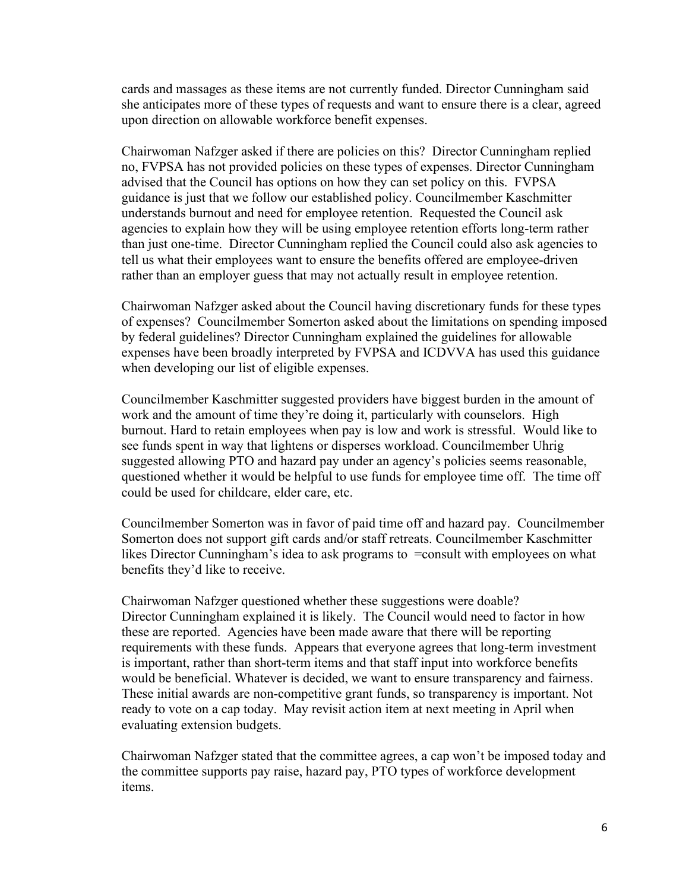cards and massages as these items are not currently funded. Director Cunningham said she anticipates more of these types of requests and want to ensure there is a clear, agreed upon direction on allowable workforce benefit expenses.

Chairwoman Nafzger asked if there are policies on this? Director Cunningham replied no, FVPSA has not provided policies on these types of expenses. Director Cunningham advised that the Council has options on how they can set policy on this. FVPSA guidance is just that we follow our established policy. Councilmember Kaschmitter understands burnout and need for employee retention. Requested the Council ask agencies to explain how they will be using employee retention efforts long-term rather than just one-time. Director Cunningham replied the Council could also ask agencies to tell us what their employees want to ensure the benefits offered are employee-driven rather than an employer guess that may not actually result in employee retention.

Chairwoman Nafzger asked about the Council having discretionary funds for these types of expenses? Councilmember Somerton asked about the limitations on spending imposed by federal guidelines? Director Cunningham explained the guidelines for allowable expenses have been broadly interpreted by FVPSA and ICDVVA has used this guidance when developing our list of eligible expenses.

Councilmember Kaschmitter suggested providers have biggest burden in the amount of work and the amount of time they're doing it, particularly with counselors. High burnout. Hard to retain employees when pay is low and work is stressful. Would like to see funds spent in way that lightens or disperses workload. Councilmember Uhrig suggested allowing PTO and hazard pay under an agency's policies seems reasonable, questioned whether it would be helpful to use funds for employee time off. The time off could be used for childcare, elder care, etc.

Councilmember Somerton was in favor of paid time off and hazard pay. Councilmember Somerton does not support gift cards and/or staff retreats. Councilmember Kaschmitter likes Director Cunningham's idea to ask programs to =consult with employees on what benefits they'd like to receive.

Chairwoman Nafzger questioned whether these suggestions were doable? Director Cunningham explained it is likely. The Council would need to factor in how these are reported. Agencies have been made aware that there will be reporting requirements with these funds. Appears that everyone agrees that long-term investment is important, rather than short-term items and that staff input into workforce benefits would be beneficial. Whatever is decided, we want to ensure transparency and fairness. These initial awards are non-competitive grant funds, so transparency is important. Not ready to vote on a cap today. May revisit action item at next meeting in April when evaluating extension budgets.

Chairwoman Nafzger stated that the committee agrees, a cap won't be imposed today and the committee supports pay raise, hazard pay, PTO types of workforce development items.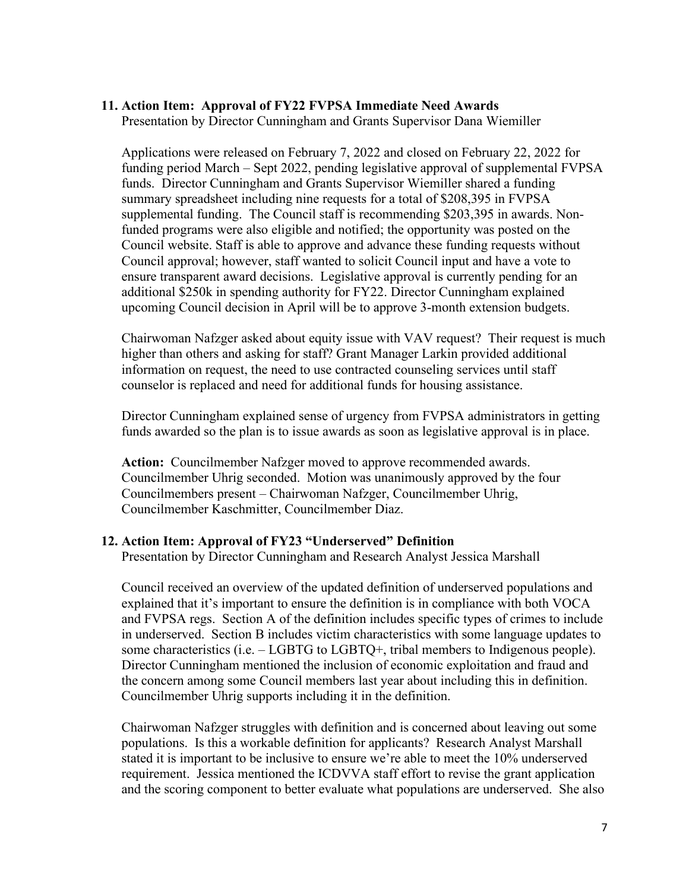#### **11. Action Item: Approval of FY22 FVPSA Immediate Need Awards**

Presentation by Director Cunningham and Grants Supervisor Dana Wiemiller

Applications were released on February 7, 2022 and closed on February 22, 2022 for funding period March – Sept 2022, pending legislative approval of supplemental FVPSA funds. Director Cunningham and Grants Supervisor Wiemiller shared a funding summary spreadsheet including nine requests for a total of \$208,395 in FVPSA supplemental funding. The Council staff is recommending \$203,395 in awards. Nonfunded programs were also eligible and notified; the opportunity was posted on the Council website. Staff is able to approve and advance these funding requests without Council approval; however, staff wanted to solicit Council input and have a vote to ensure transparent award decisions. Legislative approval is currently pending for an additional \$250k in spending authority for FY22. Director Cunningham explained upcoming Council decision in April will be to approve 3-month extension budgets.

Chairwoman Nafzger asked about equity issue with VAV request? Their request is much higher than others and asking for staff? Grant Manager Larkin provided additional information on request, the need to use contracted counseling services until staff counselor is replaced and need for additional funds for housing assistance.

Director Cunningham explained sense of urgency from FVPSA administrators in getting funds awarded so the plan is to issue awards as soon as legislative approval is in place.

**Action:** Councilmember Nafzger moved to approve recommended awards. Councilmember Uhrig seconded. Motion was unanimously approved by the four Councilmembers present – Chairwoman Nafzger, Councilmember Uhrig, Councilmember Kaschmitter, Councilmember Diaz.

#### **12. Action Item: Approval of FY23 "Underserved" Definition**

Presentation by Director Cunningham and Research Analyst Jessica Marshall

Council received an overview of the updated definition of underserved populations and explained that it's important to ensure the definition is in compliance with both VOCA and FVPSA regs. Section A of the definition includes specific types of crimes to include in underserved. Section B includes victim characteristics with some language updates to some characteristics  $(i.e. - LGBTG$  to  $LGBTO<sup>+</sup>$ , tribal members to Indigenous people). Director Cunningham mentioned the inclusion of economic exploitation and fraud and the concern among some Council members last year about including this in definition. Councilmember Uhrig supports including it in the definition.

Chairwoman Nafzger struggles with definition and is concerned about leaving out some populations. Is this a workable definition for applicants? Research Analyst Marshall stated it is important to be inclusive to ensure we're able to meet the 10% underserved requirement. Jessica mentioned the ICDVVA staff effort to revise the grant application and the scoring component to better evaluate what populations are underserved. She also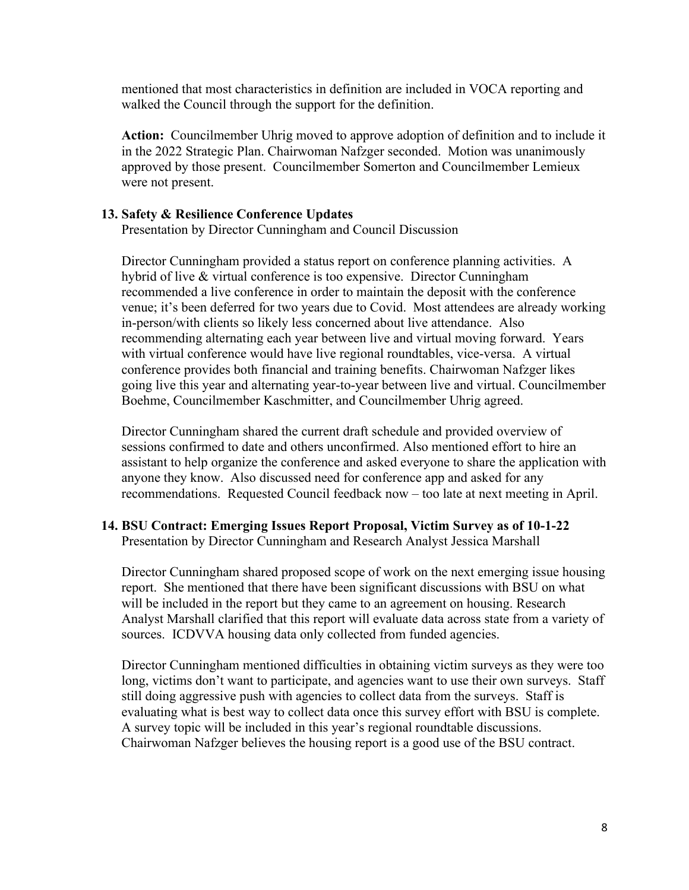mentioned that most characteristics in definition are included in VOCA reporting and walked the Council through the support for the definition.

**Action:** Councilmember Uhrig moved to approve adoption of definition and to include it in the 2022 Strategic Plan. Chairwoman Nafzger seconded. Motion was unanimously approved by those present. Councilmember Somerton and Councilmember Lemieux were not present.

#### **13. Safety & Resilience Conference Updates**

Presentation by Director Cunningham and Council Discussion

Director Cunningham provided a status report on conference planning activities. A hybrid of live & virtual conference is too expensive. Director Cunningham recommended a live conference in order to maintain the deposit with the conference venue; it's been deferred for two years due to Covid. Most attendees are already working in-person/with clients so likely less concerned about live attendance. Also recommending alternating each year between live and virtual moving forward. Years with virtual conference would have live regional roundtables, vice-versa. A virtual conference provides both financial and training benefits. Chairwoman Nafzger likes going live this year and alternating year-to-year between live and virtual. Councilmember Boehme, Councilmember Kaschmitter, and Councilmember Uhrig agreed.

Director Cunningham shared the current draft schedule and provided overview of sessions confirmed to date and others unconfirmed. Also mentioned effort to hire an assistant to help organize the conference and asked everyone to share the application with anyone they know. Also discussed need for conference app and asked for any recommendations. Requested Council feedback now – too late at next meeting in April.

# **14. BSU Contract: Emerging Issues Report Proposal, Victim Survey as of 10-1-22**

Presentation by Director Cunningham and Research Analyst Jessica Marshall

Director Cunningham shared proposed scope of work on the next emerging issue housing report. She mentioned that there have been significant discussions with BSU on what will be included in the report but they came to an agreement on housing. Research Analyst Marshall clarified that this report will evaluate data across state from a variety of sources. ICDVVA housing data only collected from funded agencies.

Director Cunningham mentioned difficulties in obtaining victim surveys as they were too long, victims don't want to participate, and agencies want to use their own surveys. Staff still doing aggressive push with agencies to collect data from the surveys. Staff is evaluating what is best way to collect data once this survey effort with BSU is complete. A survey topic will be included in this year's regional roundtable discussions. Chairwoman Nafzger believes the housing report is a good use of the BSU contract.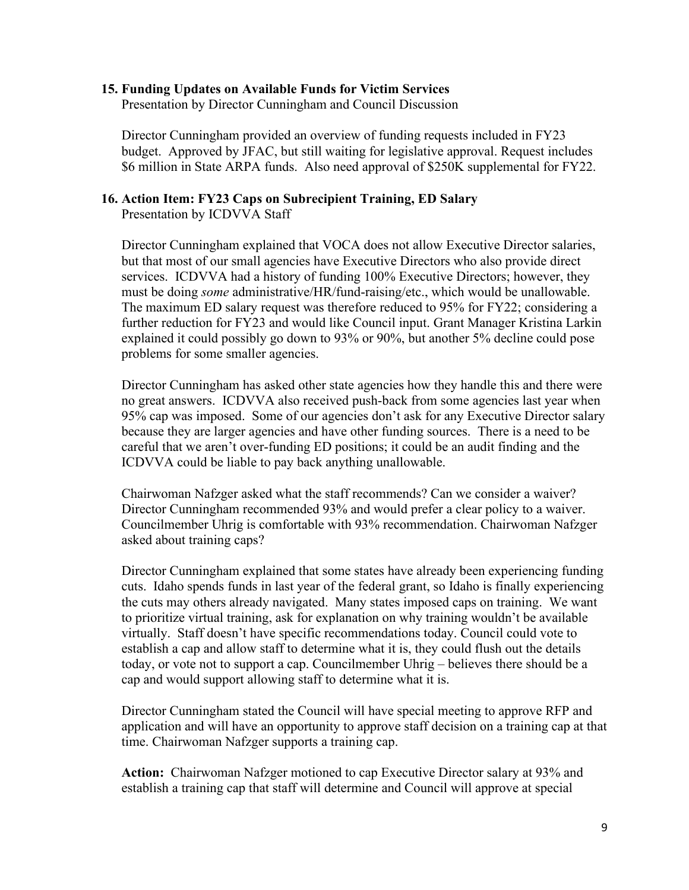## **15. Funding Updates on Available Funds for Victim Services**

Presentation by Director Cunningham and Council Discussion

Director Cunningham provided an overview of funding requests included in FY23 budget. Approved by JFAC, but still waiting for legislative approval. Request includes \$6 million in State ARPA funds. Also need approval of \$250K supplemental for FY22.

## **16. Action Item: FY23 Caps on Subrecipient Training, ED Salary**

Presentation by ICDVVA Staff

Director Cunningham explained that VOCA does not allow Executive Director salaries, but that most of our small agencies have Executive Directors who also provide direct services. ICDVVA had a history of funding 100% Executive Directors; however, they must be doing *some* administrative/HR/fund-raising/etc., which would be unallowable. The maximum ED salary request was therefore reduced to 95% for FY22; considering a further reduction for FY23 and would like Council input. Grant Manager Kristina Larkin explained it could possibly go down to 93% or 90%, but another 5% decline could pose problems for some smaller agencies.

Director Cunningham has asked other state agencies how they handle this and there were no great answers. ICDVVA also received push-back from some agencies last year when 95% cap was imposed. Some of our agencies don't ask for any Executive Director salary because they are larger agencies and have other funding sources. There is a need to be careful that we aren't over-funding ED positions; it could be an audit finding and the ICDVVA could be liable to pay back anything unallowable.

Chairwoman Nafzger asked what the staff recommends? Can we consider a waiver? Director Cunningham recommended 93% and would prefer a clear policy to a waiver. Councilmember Uhrig is comfortable with 93% recommendation. Chairwoman Nafzger asked about training caps?

Director Cunningham explained that some states have already been experiencing funding cuts. Idaho spends funds in last year of the federal grant, so Idaho is finally experiencing the cuts may others already navigated. Many states imposed caps on training. We want to prioritize virtual training, ask for explanation on why training wouldn't be available virtually. Staff doesn't have specific recommendations today. Council could vote to establish a cap and allow staff to determine what it is, they could flush out the details today, or vote not to support a cap. Councilmember Uhrig – believes there should be a cap and would support allowing staff to determine what it is.

Director Cunningham stated the Council will have special meeting to approve RFP and application and will have an opportunity to approve staff decision on a training cap at that time. Chairwoman Nafzger supports a training cap.

**Action:** Chairwoman Nafzger motioned to cap Executive Director salary at 93% and establish a training cap that staff will determine and Council will approve at special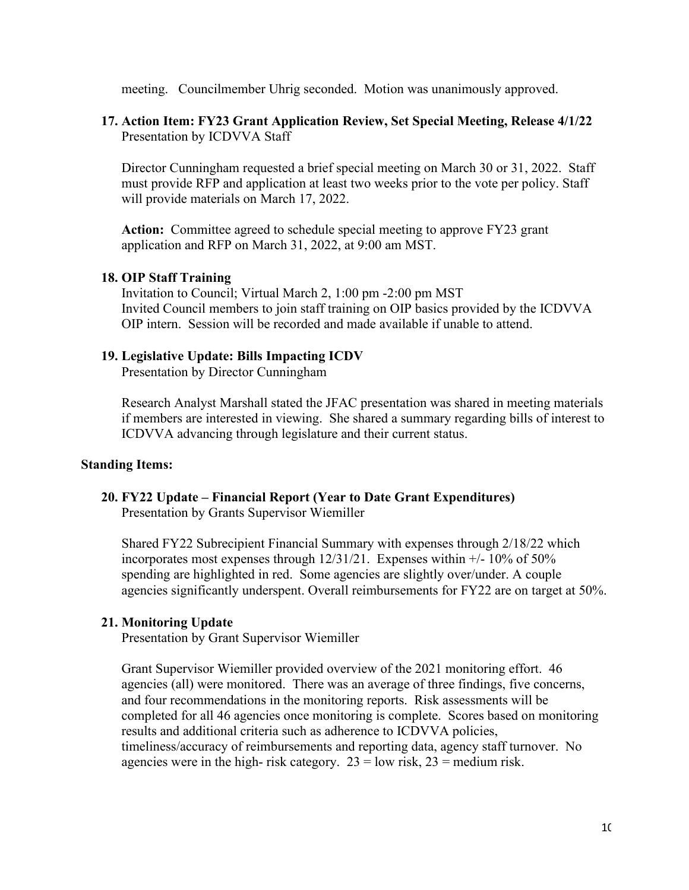meeting. Councilmember Uhrig seconded. Motion was unanimously approved.

## **17. Action Item: FY23 Grant Application Review, Set Special Meeting, Release 4/1/22**  Presentation by ICDVVA Staff

Director Cunningham requested a brief special meeting on March 30 or 31, 2022. Staff must provide RFP and application at least two weeks prior to the vote per policy. Staff will provide materials on March 17, 2022.

**Action:** Committee agreed to schedule special meeting to approve FY23 grant application and RFP on March 31, 2022, at 9:00 am MST.

## **18. OIP Staff Training**

Invitation to Council; Virtual March 2, 1:00 pm -2:00 pm MST Invited Council members to join staff training on OIP basics provided by the ICDVVA OIP intern. Session will be recorded and made available if unable to attend.

## **19. Legislative Update: Bills Impacting ICDV**

Presentation by Director Cunningham

Research Analyst Marshall stated the JFAC presentation was shared in meeting materials if members are interested in viewing. She shared a summary regarding bills of interest to ICDVVA advancing through legislature and their current status.

## **Standing Items:**

**20. FY22 Update – Financial Report (Year to Date Grant Expenditures)**  Presentation by Grants Supervisor Wiemiller

Shared FY22 Subrecipient Financial Summary with expenses through 2/18/22 which incorporates most expenses through  $12/31/21$ . Expenses within  $+/-10\%$  of 50% spending are highlighted in red. Some agencies are slightly over/under. A couple agencies significantly underspent. Overall reimbursements for FY22 are on target at 50%.

## **21. Monitoring Update**

Presentation by Grant Supervisor Wiemiller

Grant Supervisor Wiemiller provided overview of the 2021 monitoring effort. 46 agencies (all) were monitored. There was an average of three findings, five concerns, and four recommendations in the monitoring reports. Risk assessments will be completed for all 46 agencies once monitoring is complete. Scores based on monitoring results and additional criteria such as adherence to ICDVVA policies, timeliness/accuracy of reimbursements and reporting data, agency staff turnover. No agencies were in the high- risk category.  $23 =$  low risk,  $23 =$  medium risk.